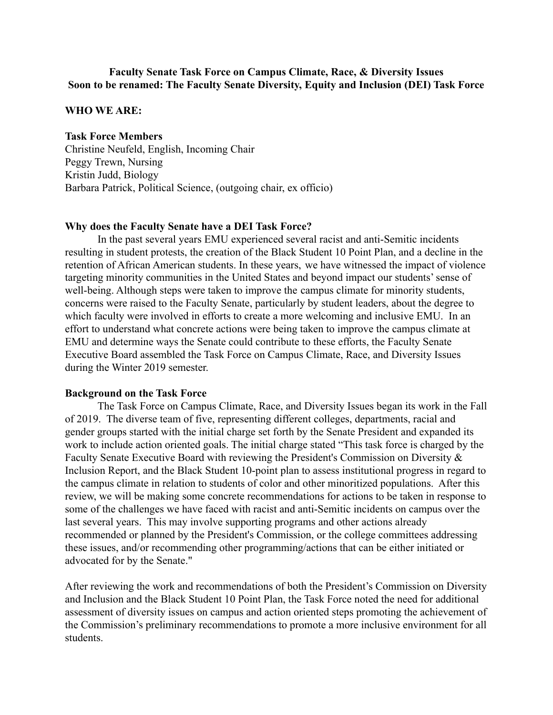## **Faculty Senate Task Force on Campus Climate, Race, & Diversity Issues Soon to be renamed: The Faculty Senate Diversity, Equity and Inclusion (DEI) Task Force**

#### **WHO WE ARE:**

### **Task Force Members**

Christine Neufeld, English, Incoming Chair Peggy Trewn, Nursing Kristin Judd, Biology Barbara Patrick, Political Science, (outgoing chair, ex officio)

### **Why does the Faculty Senate have a DEI Task Force?**

In the past several years EMU experienced several racist and anti-Semitic incidents resulting in student protests, the creation of the Black Student 10 Point Plan, and a decline in the retention of African American students. In these years, we have witnessed the impact of violence targeting minority communities in the United States and beyond impact our students' sense of well-being. Although steps were taken to improve the campus climate for minority students, concerns were raised to the Faculty Senate, particularly by student leaders, about the degree to which faculty were involved in efforts to create a more welcoming and inclusive EMU. In an effort to understand what concrete actions were being taken to improve the campus climate at EMU and determine ways the Senate could contribute to these efforts, the Faculty Senate Executive Board assembled the Task Force on Campus Climate, Race, and Diversity Issues during the Winter 2019 semester.

#### **Background on the Task Force**

The Task Force on Campus Climate, Race, and Diversity Issues began its work in the Fall of 2019. The diverse team of five, representing different colleges, departments, racial and gender groups started with the initial charge set forth by the Senate President and expanded its work to include action oriented goals. The initial charge stated "This task force is charged by the Faculty Senate Executive Board with reviewing the President's Commission on Diversity & Inclusion Report, and the Black Student 10-point plan to assess institutional progress in regard to the campus climate in relation to students of color and other minoritized populations. After this review, we will be making some concrete recommendations for actions to be taken in response to some of the challenges we have faced with racist and anti-Semitic incidents on campus over the last several years. This may involve supporting programs and other actions already recommended or planned by the President's Commission, or the college committees addressing these issues, and/or recommending other programming/actions that can be either initiated or advocated for by the Senate."

After reviewing the work and recommendations of both the President's Commission on Diversity and Inclusion and the Black Student 10 Point Plan, the Task Force noted the need for additional assessment of diversity issues on campus and action oriented steps promoting the achievement of the Commission's preliminary recommendations to promote a more inclusive environment for all students.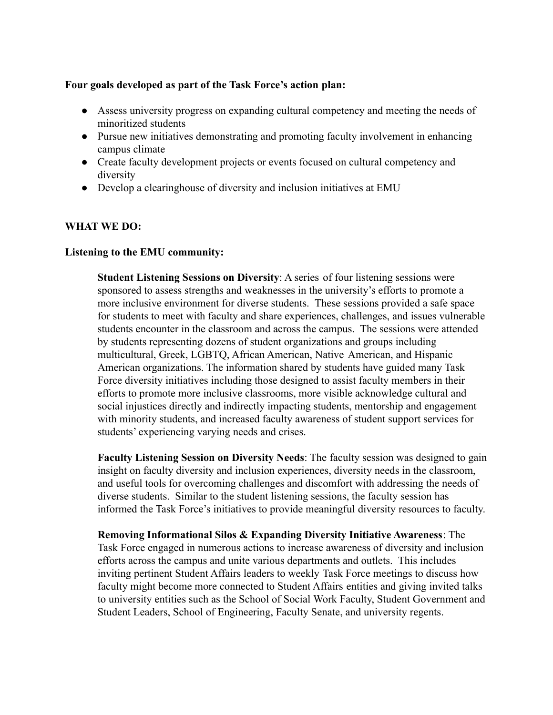## **Four goals developed as part of the Task Force's action plan:**

- Assess university progress on expanding cultural competency and meeting the needs of minoritized students
- Pursue new initiatives demonstrating and promoting faculty involvement in enhancing campus climate
- Create faculty development projects or events focused on cultural competency and diversity
- Develop a clearinghouse of diversity and inclusion initiatives at EMU

# **WHAT WE DO:**

## **Listening to the EMU community:**

**Student Listening Sessions on Diversity**: A series of four listening sessions were sponsored to assess strengths and weaknesses in the university's efforts to promote a more inclusive environment for diverse students. These sessions provided a safe space for students to meet with faculty and share experiences, challenges, and issues vulnerable students encounter in the classroom and across the campus. The sessions were attended by students representing dozens of student organizations and groups including multicultural, Greek, LGBTQ, African American, Native American, and Hispanic American organizations. The information shared by students have guided many Task Force diversity initiatives including those designed to assist faculty members in their efforts to promote more inclusive classrooms, more visible acknowledge cultural and social injustices directly and indirectly impacting students, mentorship and engagement with minority students, and increased faculty awareness of student support services for students' experiencing varying needs and crises.

**Faculty Listening Session on Diversity Needs**: The faculty session was designed to gain insight on faculty diversity and inclusion experiences, diversity needs in the classroom, and useful tools for overcoming challenges and discomfort with addressing the needs of diverse students. Similar to the student listening sessions, the faculty session has informed the Task Force's initiatives to provide meaningful diversity resources to faculty.

**Removing Informational Silos & Expanding Diversity Initiative Awareness**: The Task Force engaged in numerous actions to increase awareness of diversity and inclusion efforts across the campus and unite various departments and outlets. This includes inviting pertinent Student Affairs leaders to weekly Task Force meetings to discuss how faculty might become more connected to Student Affairs entities and giving invited talks to university entities such as the School of Social Work Faculty, Student Government and Student Leaders, School of Engineering, Faculty Senate, and university regents.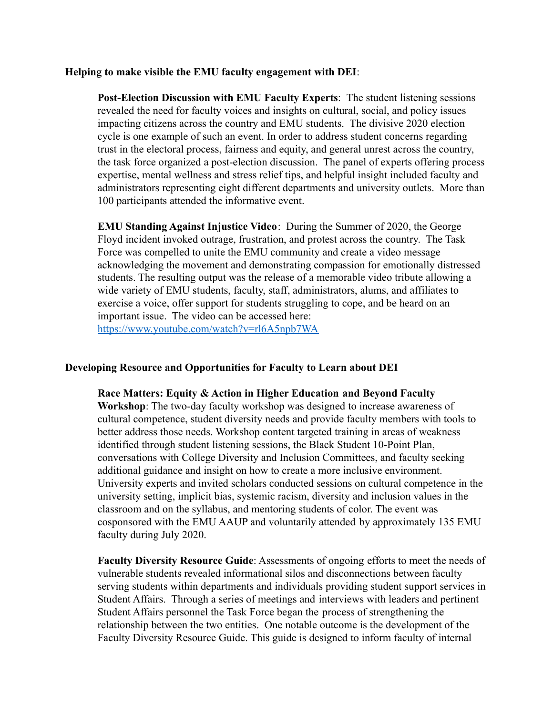### **Helping to make visible the EMU faculty engagement with DEI**:

**Post-Election Discussion with EMU Faculty Experts**: The student listening sessions revealed the need for faculty voices and insights on cultural, social, and policy issues impacting citizens across the country and EMU students. The divisive 2020 election cycle is one example of such an event. In order to address student concerns regarding trust in the electoral process, fairness and equity, and general unrest across the country, the task force organized a post-election discussion. The panel of experts offering process expertise, mental wellness and stress relief tips, and helpful insight included faculty and administrators representing eight different departments and university outlets. More than 100 participants attended the informative event.

**EMU Standing Against Injustice Video**: During the Summer of 2020, the George Floyd incident invoked outrage, frustration, and protest across the country. The Task Force was compelled to unite the EMU community and create a video message acknowledging the movement and demonstrating compassion for emotionally distressed students. The resulting output was the release of a memorable video tribute allowing a wide variety of EMU students, faculty, staff, administrators, alums, and affiliates to exercise a voice, offer support for students struggling to cope, and be heard on an important issue. The video can be accessed here: <https://www.youtube.com/watch?v=rl6A5npb7WA>

## **Developing Resource and Opportunities for Faculty to Learn about DEI**

**Race Matters: Equity & Action in Higher Education and Beyond Faculty Workshop**: The two-day faculty workshop was designed to increase awareness of cultural competence, student diversity needs and provide faculty members with tools to better address those needs. Workshop content targeted training in areas of weakness identified through student listening sessions, the Black Student 10-Point Plan, conversations with College Diversity and Inclusion Committees, and faculty seeking additional guidance and insight on how to create a more inclusive environment. University experts and invited scholars conducted sessions on cultural competence in the university setting, implicit bias, systemic racism, diversity and inclusion values in the classroom and on the syllabus, and mentoring students of color. The event was cosponsored with the EMU AAUP and voluntarily attended by approximately 135 EMU faculty during July 2020.

**Faculty Diversity Resource Guide**: Assessments of ongoing efforts to meet the needs of vulnerable students revealed informational silos and disconnections between faculty serving students within departments and individuals providing student support services in Student Affairs. Through a series of meetings and interviews with leaders and pertinent Student Affairs personnel the Task Force began the process of strengthening the relationship between the two entities. One notable outcome is the development of the Faculty Diversity Resource Guide. This guide is designed to inform faculty of internal